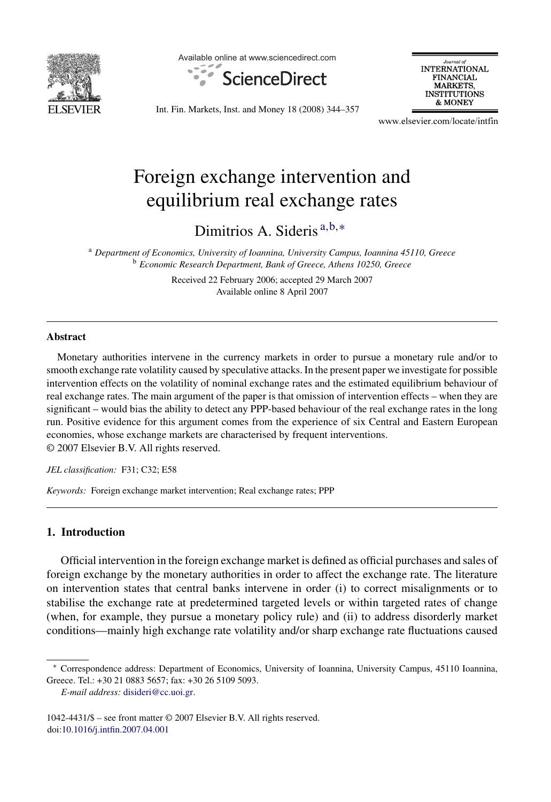

Available online at www.sciencedirect.com



Journal of<br>INTERNATIONAL **FINANCIAL MARKETS, INSTITUTIONS** & MONEY

Int. Fin. Markets, Inst. and Money 18 (2008) 344–357

www.elsevier.com/locate/intfin

## Foreign exchange intervention and equilibrium real exchange rates

Dimitrios A. Sideris <sup>a</sup>*,*b*,*<sup>∗</sup>

<sup>a</sup> *Department of Economics, University of Ioannina, University Campus, Ioannina 45110, Greece* <sup>b</sup> *Economic Research Department, Bank of Greece, Athens 10250, Greece*

> Received 22 February 2006; accepted 29 March 2007 Available online 8 April 2007

## **Abstract**

Monetary authorities intervene in the currency markets in order to pursue a monetary rule and/or to smooth exchange rate volatility caused by speculative attacks. In the present paper we investigate for possible intervention effects on the volatility of nominal exchange rates and the estimated equilibrium behaviour of real exchange rates. The main argument of the paper is that omission of intervention effects – when they are significant – would bias the ability to detect any PPP-based behaviour of the real exchange rates in the long run. Positive evidence for this argument comes from the experience of six Central and Eastern European economies, whose exchange markets are characterised by frequent interventions. © 2007 Elsevier B.V. All rights reserved.

*JEL classification:* F31; C32; E58

*Keywords:* Foreign exchange market intervention; Real exchange rates; PPP

## **1. Introduction**

Official intervention in the foreign exchange market is defined as official purchases and sales of foreign exchange by the monetary authorities in order to affect the exchange rate. The literature on intervention states that central banks intervene in order (i) to correct misalignments or to stabilise the exchange rate at predetermined targeted levels or within targeted rates of change (when, for example, they pursue a monetary policy rule) and (ii) to address disorderly market conditions—mainly high exchange rate volatility and/or sharp exchange rate fluctuations caused

<sup>∗</sup> Correspondence address: Department of Economics, University of Ioannina, University Campus, 45110 Ioannina, Greece. Tel.: +30 21 0883 5657; fax: +30 26 5109 5093.

*E-mail address:* [disideri@cc.uoi.gr.](mailto:disideri@cc.uoi.gr)

<sup>1042-4431/\$ –</sup> see front matter © 2007 Elsevier B.V. All rights reserved. doi[:10.1016/j.intfin.2007.04.001](dx.doi.org/10.1016/j.intfin.2007.04.001)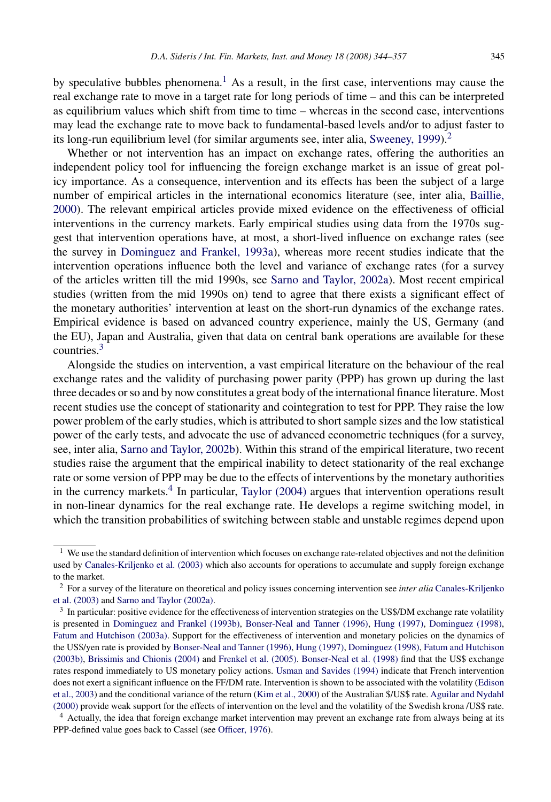by speculative bubbles phenomena.<sup>1</sup> As a result, in the first case, interventions may cause the real exchange rate to move in a target rate for long periods of time – and this can be interpreted as equilibrium values which shift from time to time – whereas in the second case, interventions may lead the exchange rate to move back to fundamental-based levels and/or to adjust faster to its long-run equilibrium level (for similar arguments see, inter alia, [Sweeney, 1999\).](#page--1-0)<sup>2</sup>

Whether or not intervention has an impact on exchange rates, offering the authorities an independent policy tool for influencing the foreign exchange market is an issue of great policy importance. As a consequence, intervention and its effects has been the subject of a large number of empirical articles in the international economics literature (see, inter alia, [Baillie,](#page--1-0) [2000\).](#page--1-0) The relevant empirical articles provide mixed evidence on the effectiveness of official interventions in the currency markets. Early empirical studies using data from the 1970s suggest that intervention operations have, at most, a short-lived influence on exchange rates (see the survey in [Dominguez and Frankel, 1993a\),](#page--1-0) whereas more recent studies indicate that the intervention operations influence both the level and variance of exchange rates (for a survey of the articles written till the mid 1990s, see [Sarno and Taylor, 2002a\).](#page--1-0) Most recent empirical studies (written from the mid 1990s on) tend to agree that there exists a significant effect of the monetary authorities' intervention at least on the short-run dynamics of the exchange rates. Empirical evidence is based on advanced country experience, mainly the US, Germany (and the EU), Japan and Australia, given that data on central bank operations are available for these countries.<sup>3</sup>

Alongside the studies on intervention, a vast empirical literature on the behaviour of the real exchange rates and the validity of purchasing power parity (PPP) has grown up during the last three decades or so and by now constitutes a great body of the international finance literature. Most recent studies use the concept of stationarity and cointegration to test for PPP. They raise the low power problem of the early studies, which is attributed to short sample sizes and the low statistical power of the early tests, and advocate the use of advanced econometric techniques (for a survey, see, inter alia, [Sarno and Taylor, 2002b\).](#page--1-0) Within this strand of the empirical literature, two recent studies raise the argument that the empirical inability to detect stationarity of the real exchange rate or some version of PPP may be due to the effects of interventions by the monetary authorities in the currency markets.<sup>4</sup> In particular, [Taylor \(2004\)](#page--1-0) argues that intervention operations result in non-linear dynamics for the real exchange rate. He develops a regime switching model, in which the transition probabilities of switching between stable and unstable regimes depend upon

 $<sup>1</sup>$  We use the standard definition of intervention which focuses on exchange rate-related objectives and not the definition</sup> used by [Canales-Kriljenko et al. \(2003\)](#page--1-0) which also accounts for operations to accumulate and supply foreign exchange to the market.

<sup>2</sup> For a survey of the literature on theoretical and policy issues concerning intervention see *inter alia* [Canales-Kriljenko](#page--1-0) [et al. \(2003\)](#page--1-0) and [Sarno and Taylor \(2002a\).](#page--1-0)

<sup>&</sup>lt;sup>3</sup> In particular: positive evidence for the effectiveness of intervention strategies on the US\$/DM exchange rate volatility is presented in [Dominguez and Frankel \(1993b\),](#page--1-0) [Bonser-Neal and Tanner \(1996\),](#page--1-0) [Hung \(1997\),](#page--1-0) [Dominguez \(1998\),](#page--1-0) [Fatum and Hutchison \(2003a\). S](#page--1-0)upport for the effectiveness of intervention and monetary policies on the dynamics of the US\$/yen rate is provided by [Bonser-Neal and Tanner \(1996\),](#page--1-0) [Hung \(1997\),](#page--1-0) [Dominguez \(1998\),](#page--1-0) [Fatum and Hutchison](#page--1-0) [\(2003b\),](#page--1-0) [Brissimis and Chionis \(2004\)](#page--1-0) and [Frenkel et al. \(2005\).](#page--1-0) [Bonser-Neal et al. \(1998\)](#page--1-0) find that the US\$ exchange rates respond immediately to US monetary policy actions. [Usman and Savides \(1994\)](#page--1-0) indicate that French intervention does not exert a significant influence on the FF/DM rate. Intervention is shown to be associated with the volatility ([Edison](#page--1-0) [et al., 2003\) a](#page--1-0)nd the conditional variance of the return ([Kim et al., 2000\) o](#page--1-0)f the Australian \$/US\$ rate. [Aguilar and Nydahl](#page--1-0) [\(2000\)](#page--1-0) provide weak support for the effects of intervention on the level and the volatility of the Swedish krona /US\$ rate.

<sup>4</sup> Actually, the idea that foreign exchange market intervention may prevent an exchange rate from always being at its PPP-defined value goes back to Cassel (see [Officer, 1976\).](#page--1-0)